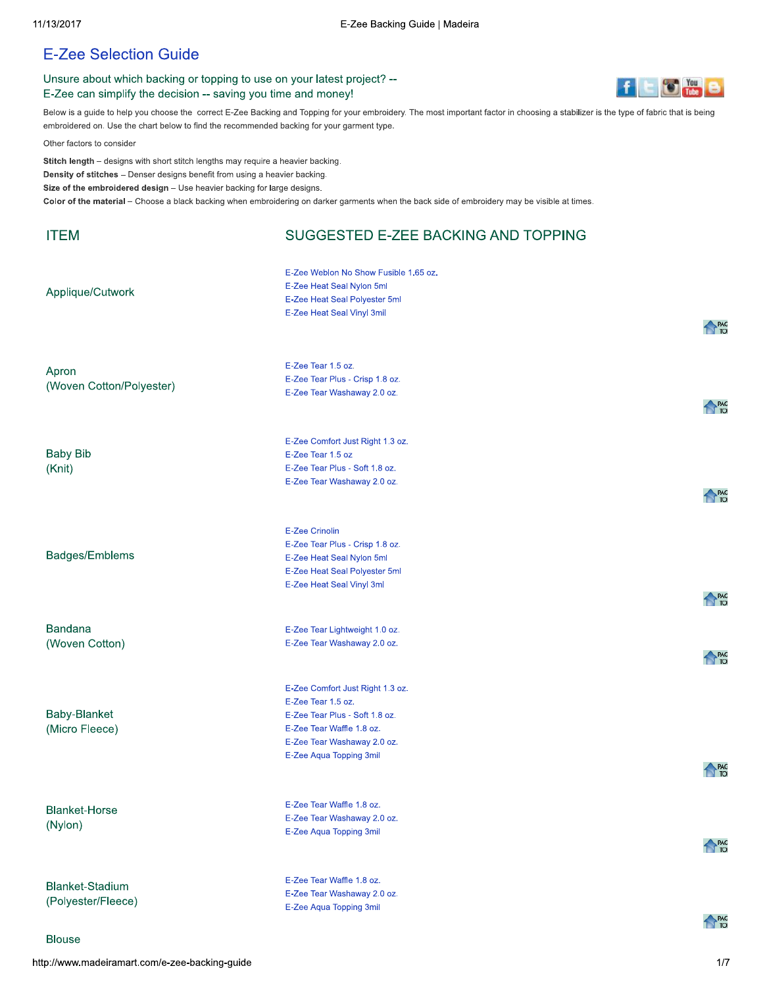## **E-Zee Selection Guide**

## Unsure about which backing or topping to use on your latest project? --E-Zee can simplify the decision -- saving you time and money!



Below is a guide to help you choose the correct E-Zee Backing and Topping for your embroidery. The most important factor in choosing a stabilizer is the type of fabric that is being embroidered on. Use the chart below to find the recommended backing for your garment type.

Other factors to consider

Stitch length - designs with short stitch lengths may require a heavier backing. Density of stitches - Denser designs benefit from using a heavier backing. Size of the embroidered design - Use heavier backing for large designs. Color of the material - Choose a black backing when embroidering on darker garments when the back side of embroidery may be visible at times.

| <b>ITEM</b>                                                   | SUGGESTED E-ZEE BACKING AND TOPPING                                                                                                                                             |                   |
|---------------------------------------------------------------|---------------------------------------------------------------------------------------------------------------------------------------------------------------------------------|-------------------|
| Applique/Cutwork                                              | E-Zee Weblon No Show Fusible 1.65 oz.<br>E-Zee Heat Seal Nylon 5ml<br>E-Zee Heat Seal Polyester 5ml<br>E-Zee Heat Seal Vinyl 3mil                                               | <b>PAG</b><br>TOI |
| Apron<br>(Woven Cotton/Polyester)                             | E-Zee Tear 1.5 oz.<br>E-Zee Tear Plus - Crisp 1.8 oz.<br>E-Zee Tear Washaway 2.0 oz.                                                                                            | <b>A</b> PAG      |
| <b>Baby Bib</b><br>(Knit)                                     | E-Zee Comfort Just Right 1.3 oz.<br>E-Zee Tear 1.5 oz<br>E-Zee Tear Plus - Soft 1.8 oz.<br>E-Zee Tear Washaway 2.0 oz.                                                          | <b>PAG</b><br>TOI |
| Badges/Emblems                                                | <b>E-Zee Crinolin</b><br>E-Zee Tear Plus - Crisp 1.8 oz.<br>E-Zee Heat Seal Nylon 5ml<br>E-Zee Heat Seal Polyester 5ml<br>E-Zee Heat Seal Vinyl 3ml                             | <b>PAG</b><br>TOI |
| <b>Bandana</b><br>(Woven Cotton)                              | E-Zee Tear Lightweight 1.0 oz.<br>E-Zee Tear Washaway 2.0 oz.                                                                                                                   | <b>PAG</b><br>TOI |
| Baby-Blanket<br>(Micro Fleece)                                | E-Zee Comfort Just Right 1.3 oz.<br>E-Zee Tear 1.5 oz.<br>E-Zee Tear Plus - Soft 1.8 oz.<br>E-Zee Tear Waffle 1.8 oz.<br>E-Zee Tear Washaway 2.0 oz.<br>E-Zee Aqua Topping 3mil | PAG               |
| <b>Blanket-Horse</b><br>(Nylon)                               | E-Zee Tear Waffle 1.8 oz.<br>E-Zee Tear Washaway 2.0 oz.<br>E-Zee Aqua Topping 3mil                                                                                             | <b>PAG</b><br>TOI |
| <b>Blanket-Stadium</b><br>(Polyester/Fleece)<br><b>Blouse</b> | E-Zee Tear Waffle 1.8 oz.<br>E-Zee Tear Washaway 2.0 oz.<br>E-Zee Aqua Topping 3mil                                                                                             | <b>PAG</b><br>TOI |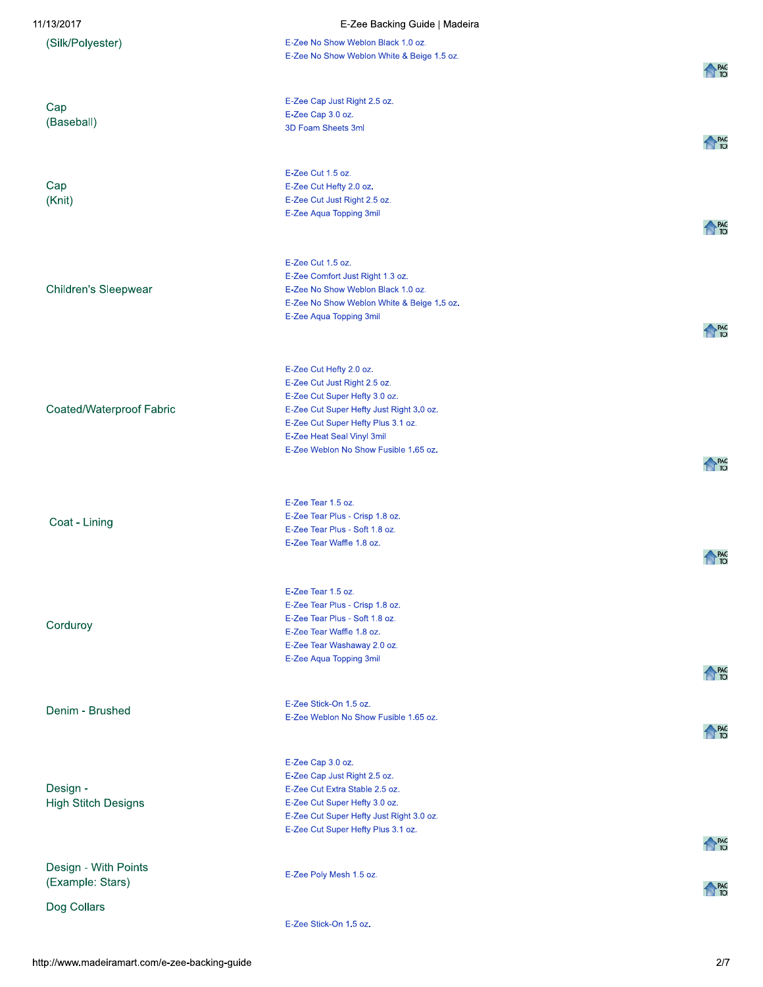| 11/13/2017                               | E-Zee Backing Guide   Madeira                                                    |                  |
|------------------------------------------|----------------------------------------------------------------------------------|------------------|
| (Silk/Polyester)                         | E-Zee No Show Weblon Black 1.0 oz.<br>E-Zee No Show Weblon White & Beige 1.5 oz. |                  |
|                                          |                                                                                  | PAG<br>TOI       |
| Cap                                      | E-Zee Cap Just Right 2.5 oz.                                                     |                  |
| (Baseball)                               | E-Zee Cap 3.0 oz.                                                                |                  |
|                                          | 3D Foam Sheets 3ml                                                               | <b>PAG</b><br>10 |
|                                          |                                                                                  |                  |
|                                          | E-Zee Cut 1.5 oz.                                                                |                  |
| Cap<br>(Knit)                            | E-Zee Cut Hefty 2.0 oz.<br>E-Zee Cut Just Right 2.5 oz.                          |                  |
|                                          | E-Zee Aqua Topping 3mil                                                          |                  |
|                                          |                                                                                  | PAG              |
|                                          | E-Zee Cut 1.5 oz.                                                                |                  |
|                                          | E-Zee Comfort Just Right 1.3 oz.                                                 |                  |
| Children's Sleepwear                     | E-Zee No Show Weblon Black 1.0 oz.                                               |                  |
|                                          | E-Zee No Show Weblon White & Beige 1.5 oz.                                       |                  |
|                                          | E-Zee Aqua Topping 3mil                                                          | PAG<br>TOI       |
|                                          |                                                                                  |                  |
|                                          | E-Zee Cut Hefty 2.0 oz.                                                          |                  |
|                                          | E-Zee Cut Just Right 2.5 oz.                                                     |                  |
|                                          | E-Zee Cut Super Hefty 3.0 oz.                                                    |                  |
| Coated/Waterproof Fabric                 | E-Zee Cut Super Hefty Just Right 3.0 oz.<br>E-Zee Cut Super Hefty Plus 3.1 oz.   |                  |
|                                          | E-Zee Heat Seal Vinyl 3mil                                                       |                  |
|                                          | E-Zee Weblon No Show Fusible 1.65 oz.                                            | PAG<br>TOI       |
|                                          |                                                                                  |                  |
|                                          | E-Zee Tear 1.5 oz.                                                               |                  |
|                                          | E-Zee Tear Plus - Crisp 1.8 oz.                                                  |                  |
| Coat - Lining                            | E-Zee Tear Plus - Soft 1.8 oz.                                                   |                  |
|                                          | E-Zee Tear Waffle 1.8 oz.                                                        | PAG              |
|                                          |                                                                                  |                  |
|                                          | E-Zee Tear 1.5 oz.                                                               |                  |
|                                          | E-Zee Tear Plus - Crisp 1.8 oz.                                                  |                  |
| Corduroy                                 | E-Zee Tear Plus - Soft 1.8 oz.<br>E-Zee Tear Waffle 1.8 oz.                      |                  |
|                                          | E-Zee Tear Washaway 2.0 oz.                                                      |                  |
|                                          | E-Zee Aqua Topping 3mil                                                          |                  |
|                                          |                                                                                  | <b>PAG</b>       |
| Denim - Brushed                          | E-Zee Stick-On 1.5 oz.                                                           |                  |
|                                          | E-Zee Weblon No Show Fusible 1.65 oz.                                            | PAG<br>TOI       |
|                                          |                                                                                  |                  |
|                                          | E-Zee Cap 3.0 oz.                                                                |                  |
| Design -                                 | E-Zee Cap Just Right 2.5 oz.<br>E-Zee Cut Extra Stable 2.5 oz.                   |                  |
| <b>High Stitch Designs</b>               | E-Zee Cut Super Hefty 3.0 oz.                                                    |                  |
|                                          | E-Zee Cut Super Hefty Just Right 3.0 oz.                                         |                  |
|                                          | E-Zee Cut Super Hefty Plus 3.1 oz.                                               | PAG<br>TOI       |
|                                          |                                                                                  |                  |
| Design - With Points<br>(Example: Stars) | E-Zee Poly Mesh 1.5 oz.                                                          |                  |
|                                          |                                                                                  | PAG<br>TOI       |
| Dog Collars                              |                                                                                  |                  |
|                                          | E-Zee Stick-On 1.5 oz.                                                           |                  |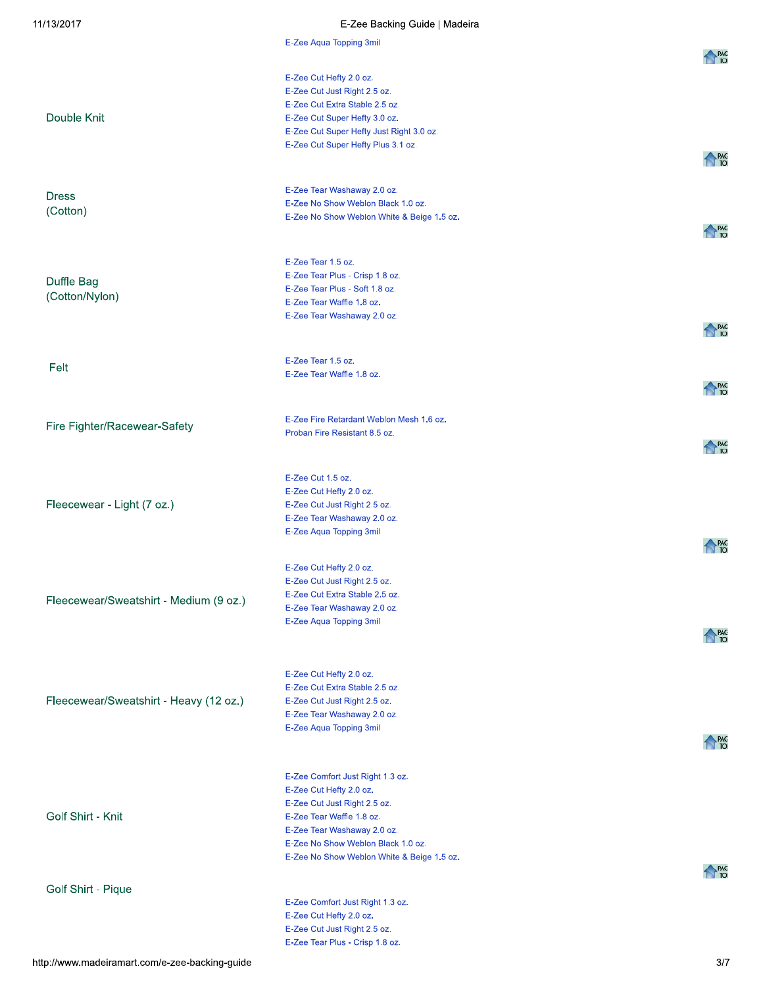| 11/13/2017                             | E-Zee Backing Guide   Madeira                                     |              |
|----------------------------------------|-------------------------------------------------------------------|--------------|
|                                        | E-Zee Aqua Topping 3mil                                           |              |
|                                        |                                                                   | <b>A</b> PAG |
|                                        | E-Zee Cut Hefty 2.0 oz.                                           |              |
|                                        | E-Zee Cut Just Right 2.5 oz.                                      |              |
| Double Knit                            | E-Zee Cut Extra Stable 2.5 oz.<br>E-Zee Cut Super Hefty 3.0 oz.   |              |
|                                        | E-Zee Cut Super Hefty Just Right 3.0 oz.                          |              |
|                                        | E-Zee Cut Super Hefty Plus 3.1 oz.                                |              |
|                                        |                                                                   | <b>A</b> PAG |
|                                        |                                                                   |              |
| <b>Dress</b>                           | E-Zee Tear Washaway 2.0 oz.<br>E-Zee No Show Weblon Black 1.0 oz. |              |
| (Cotton)                               | E-Zee No Show Weblon White & Beige 1.5 oz.                        |              |
|                                        |                                                                   | <b>A</b> PAG |
|                                        |                                                                   |              |
|                                        | E-Zee Tear 1.5 oz.                                                |              |
| Duffle Bag                             | E-Zee Tear Plus - Crisp 1.8 oz.<br>E-Zee Tear Plus - Soft 1.8 oz. |              |
| (Cotton/Nylon)                         | E-Zee Tear Waffle 1.8 oz.                                         |              |
|                                        | E-Zee Tear Washaway 2.0 oz.                                       |              |
|                                        |                                                                   | PAG<br>TOI   |
|                                        | E-Zee Tear 1.5 oz.                                                |              |
| Felt                                   | E-Zee Tear Waffle 1.8 oz.                                         |              |
|                                        |                                                                   | PAG<br>TOI   |
|                                        |                                                                   |              |
| Fire Fighter/Racewear-Safety           | E-Zee Fire Retardant Weblon Mesh 1.6 oz.                          |              |
|                                        | Proban Fire Resistant 8.5 oz.                                     | <b>PAG</b>   |
|                                        |                                                                   |              |
|                                        | E-Zee Cut 1.5 oz.                                                 |              |
|                                        | E-Zee Cut Hefty 2.0 oz.                                           |              |
| Fleecewear - Light (7 oz.)             | E-Zee Cut Just Right 2.5 oz.<br>E-Zee Tear Washaway 2.0 oz.       |              |
|                                        | E-Zee Aqua Topping 3mil                                           |              |
|                                        |                                                                   | PAG<br>TOI   |
|                                        | E-Zee Cut Hefty 2.0 oz.                                           |              |
|                                        | E-Zee Cut Just Right 2.5 oz.                                      |              |
| Fleecewear/Sweatshirt - Medium (9 oz.) | E-Zee Cut Extra Stable 2.5 oz.                                    |              |
|                                        | E-Zee Tear Washaway 2.0 oz.<br>E-Zee Aqua Topping 3mil            |              |
|                                        |                                                                   | PAG<br>TOI   |
|                                        |                                                                   |              |
|                                        | E-Zee Cut Hefty 2.0 oz.                                           |              |
|                                        | E-Zee Cut Extra Stable 2.5 oz.                                    |              |
| Fleecewear/Sweatshirt - Heavy (12 oz.) | E-Zee Cut Just Right 2.5 oz.                                      |              |
|                                        | E-Zee Tear Washaway 2.0 oz.                                       |              |
|                                        | E-Zee Aqua Topping 3mil                                           | PAG          |
|                                        |                                                                   |              |
|                                        | E-Zee Comfort Just Right 1.3 oz.                                  |              |
|                                        | E-Zee Cut Hefty 2.0 oz.                                           |              |
|                                        | E-Zee Cut Just Right 2.5 oz.                                      |              |
| Golf Shirt - Knit                      | E-Zee Tear Waffle 1.8 oz.<br>E-Zee Tear Washaway 2.0 oz.          |              |
|                                        | E-Zee No Show Weblon Black 1.0 oz.                                |              |
|                                        | E-Zee No Show Weblon White & Beige 1.5 oz.                        |              |
|                                        |                                                                   | PAG<br>TOI   |
| Golf Shirt - Pique                     |                                                                   |              |
|                                        | E-Zee Comfort Just Right 1.3 oz.<br>E-Zee Cut Hefty 2.0 oz.       |              |
|                                        | E-Zee Cut Just Right 2.5 oz.                                      |              |
|                                        | E-Zee Tear Plus - Crisp 1.8 oz.                                   |              |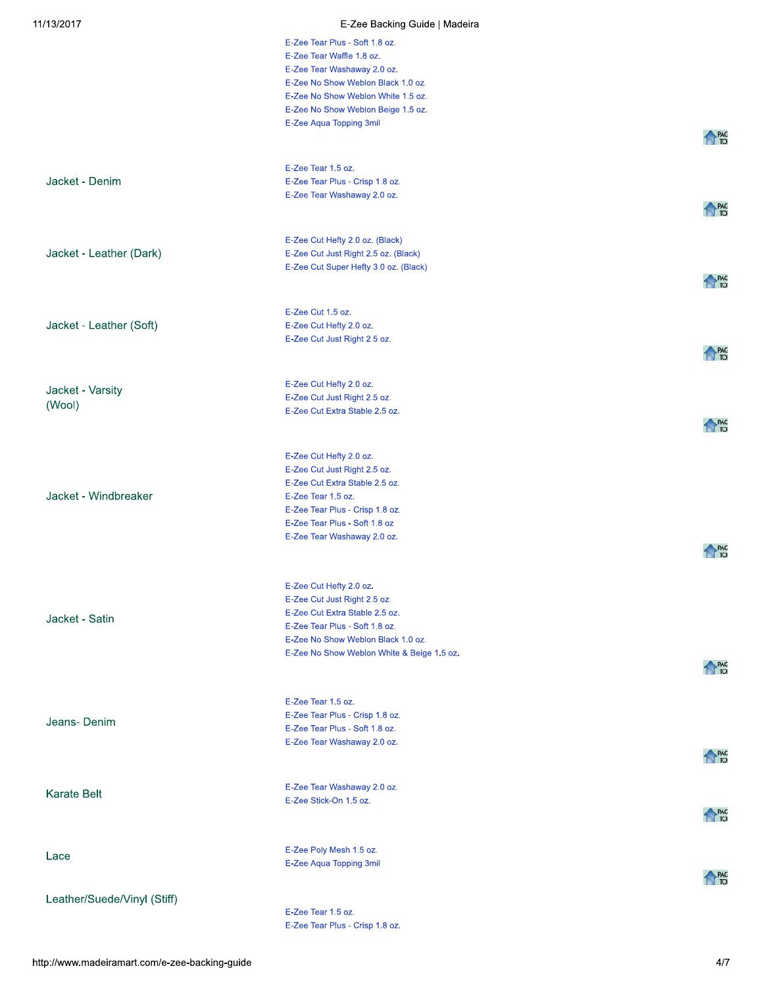| 11/13/2017                  | E-Zee Backing Guide   Madeira                                  |                   |
|-----------------------------|----------------------------------------------------------------|-------------------|
|                             | E-Zee Tear Plus - Soft 1.8 oz.                                 |                   |
|                             | E-Zee Tear Waffle 1.8 oz.                                      |                   |
|                             | E-Zee Tear Washaway 2.0 oz.                                    |                   |
|                             | E-Zee No Show Weblon Black 1.0 oz.                             |                   |
|                             | E-Zee No Show Weblon White 1.5 oz.                             |                   |
|                             | E-Zee No Show Weblon Beige 1.5 oz.                             |                   |
|                             | E-Zee Aqua Topping 3mil                                        |                   |
|                             |                                                                | <b>PAG</b><br>TOI |
|                             |                                                                |                   |
|                             | E-Zee Tear 1.5 oz.                                             |                   |
| Jacket - Denim              | E-Zee Tear Plus - Crisp 1.8 oz.                                |                   |
|                             | E-Zee Tear Washaway 2.0 oz.                                    |                   |
|                             |                                                                | <b>PAG</b><br>TOI |
|                             |                                                                |                   |
|                             | E-Zee Cut Hefty 2.0 oz. (Black)                                |                   |
| Jacket - Leather (Dark)     | E-Zee Cut Just Right 2.5 oz. (Black)                           |                   |
|                             | E-Zee Cut Super Hefty 3.0 oz. (Black)                          | <b>PAG</b><br>TOI |
|                             |                                                                |                   |
|                             |                                                                |                   |
|                             | E-Zee Cut 1.5 oz.                                              |                   |
| Jacket - Leather (Soft)     | E-Zee Cut Hefty 2.0 oz.<br>E-Zee Cut Just Right 2.5 oz.        |                   |
|                             |                                                                |                   |
|                             |                                                                | <b>PAG</b><br>TOI |
|                             |                                                                |                   |
| Jacket - Varsity            | E-Zee Cut Hefty 2.0 oz.                                        |                   |
| (Wool)                      | E-Zee Cut Just Right 2.5 oz.<br>E-Zee Cut Extra Stable 2.5 oz. |                   |
|                             |                                                                | <b>PAG</b><br>TOI |
|                             |                                                                |                   |
|                             |                                                                |                   |
|                             | E-Zee Cut Hefty 2.0 oz.                                        |                   |
|                             | E-Zee Cut Just Right 2.5 oz.<br>E-Zee Cut Extra Stable 2.5 oz. |                   |
| Jacket - Windbreaker        | E-Zee Tear 1.5 oz.                                             |                   |
|                             | E-Zee Tear Plus - Crisp 1.8 oz.                                |                   |
|                             | E-Zee Tear Plus - Soft 1.8 oz                                  |                   |
|                             | E-Zee Tear Washaway 2.0 oz.                                    |                   |
|                             |                                                                | <b>PAG</b>        |
|                             |                                                                |                   |
|                             |                                                                |                   |
|                             | E-Zee Cut Hefty 2.0 oz.                                        |                   |
|                             | E-Zee Cut Just Right 2.5 oz.<br>E-Zee Cut Extra Stable 2.5 oz. |                   |
| Jacket - Satin              | E-Zee Tear Plus - Soft 1.8 oz.                                 |                   |
|                             | E-Zee No Show Weblon Black 1.0 oz.                             |                   |
|                             | E-Zee No Show Weblon White & Beige 1.5 oz.                     |                   |
|                             |                                                                | <b>A</b> PAG      |
|                             |                                                                |                   |
|                             | E-Zee Tear 1.5 oz.                                             |                   |
|                             | E-Zee Tear Plus - Crisp 1.8 oz.                                |                   |
| Jeans-Denim                 | E-Zee Tear Plus - Soft 1.8 oz.                                 |                   |
|                             | E-Zee Tear Washaway 2.0 oz.                                    |                   |
|                             |                                                                | <b>PAG</b><br>TOI |
|                             |                                                                |                   |
|                             | E-Zee Tear Washaway 2.0 oz.                                    |                   |
| <b>Karate Belt</b>          | E-Zee Stick-On 1.5 oz.                                         |                   |
|                             |                                                                | <b>A</b> PAG      |
|                             |                                                                |                   |
|                             |                                                                |                   |
| Lace                        | E-Zee Poly Mesh 1.5 oz.                                        |                   |
|                             | E-Zee Aqua Topping 3mil                                        |                   |
|                             |                                                                | PAG<br>TOI        |
| Leather/Suede/Vinyl (Stiff) |                                                                |                   |
|                             | E-Zee Tear 1.5 oz.                                             |                   |
|                             | E-Zee Tear Plus - Crisp 1.8 oz.                                |                   |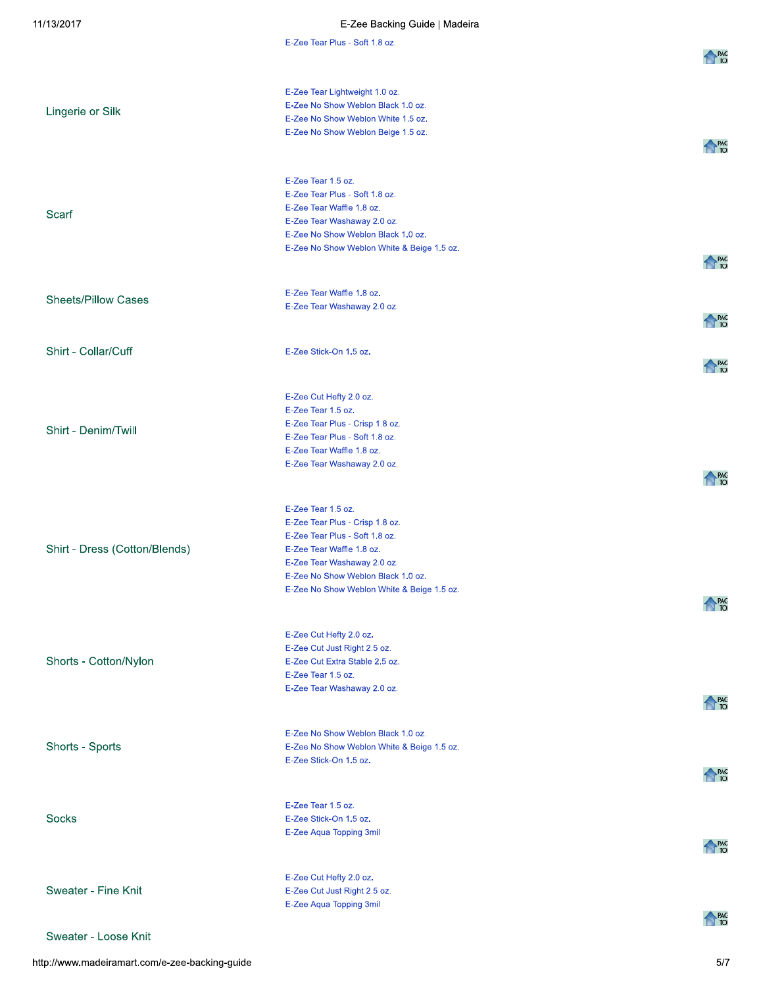| /13/2017                      | E-Zee Backing Guide   Madeira                                            |              |
|-------------------------------|--------------------------------------------------------------------------|--------------|
|                               | E-Zee Tear Plus - Soft 1.8 oz.                                           |              |
|                               |                                                                          | <b>N</b> PAG |
|                               |                                                                          |              |
|                               | E-Zee Tear Lightweight 1.0 oz.                                           |              |
| Lingerie or Silk              | E-Zee No Show Weblon Black 1.0 oz.<br>E-Zee No Show Weblon White 1.5 oz. |              |
|                               | E-Zee No Show Weblon Beige 1.5 oz.                                       |              |
|                               |                                                                          | <b>N</b> PAG |
|                               |                                                                          |              |
|                               | E-Zee Tear 1.5 oz.                                                       |              |
|                               | E-Zee Tear Plus - Soft 1.8 oz.                                           |              |
| Scarf                         | E-Zee Tear Waffle 1.8 oz.                                                |              |
|                               | E-Zee Tear Washaway 2.0 oz.                                              |              |
|                               | E-Zee No Show Weblon Black 1.0 oz.                                       |              |
|                               | E-Zee No Show Weblon White & Beige 1.5 oz.                               |              |
|                               |                                                                          | <b>A</b> PAG |
|                               |                                                                          |              |
| <b>Sheets/Pillow Cases</b>    | E-Zee Tear Waffle 1.8 oz.<br>E-Zee Tear Washaway 2.0 oz.                 |              |
|                               |                                                                          | <b>A</b> PAG |
|                               |                                                                          |              |
| Shirt - Collar/Cuff           | E-Zee Stick-On 1.5 oz.                                                   |              |
|                               |                                                                          | <b>A</b> PAG |
|                               |                                                                          |              |
|                               | E-Zee Cut Hefty 2.0 oz.                                                  |              |
|                               | E-Zee Tear 1.5 oz.                                                       |              |
| Shirt - Denim/Twill           | E-Zee Tear Plus - Crisp 1.8 oz.                                          |              |
|                               | E-Zee Tear Plus - Soft 1.8 oz.<br>E-Zee Tear Waffle 1.8 oz.              |              |
|                               | E-Zee Tear Washaway 2.0 oz.                                              |              |
|                               |                                                                          | <b>A</b> PAG |
|                               |                                                                          |              |
|                               | E-Zee Tear 1.5 oz.                                                       |              |
|                               | E-Zee Tear Plus - Crisp 1.8 oz.                                          |              |
|                               | E-Zee Tear Plus - Soft 1.8 oz.                                           |              |
| Shirt - Dress (Cotton/Blends) | E-Zee Tear Waffle 1.8 oz.                                                |              |
|                               | E-Zee Tear Washaway 2.0 oz.<br>E-Zee No Show Weblon Black 1.0 oz.        |              |
|                               | E-Zee No Show Weblon White & Beige 1.5 oz.                               |              |
|                               |                                                                          | <b>N</b> PAG |
|                               |                                                                          |              |
|                               | E-Zee Cut Hefty 2.0 oz.                                                  |              |
|                               | E-Zee Cut Just Right 2.5 oz.                                             |              |
| Shorts - Cotton/Nylon         | E-Zee Cut Extra Stable 2.5 oz.                                           |              |
|                               | E-Zee Tear 1.5 oz.                                                       |              |
|                               | E-Zee Tear Washaway 2.0 oz.                                              | <b>N</b> PAG |
|                               |                                                                          |              |
|                               | E-Zee No Show Weblon Black 1.0 oz.                                       |              |
| Shorts - Sports               | E-Zee No Show Weblon White & Beige 1.5 oz.                               |              |
|                               | E-Zee Stick-On 1.5 oz.                                                   |              |
|                               |                                                                          | <b>N</b> PAG |
|                               |                                                                          |              |
|                               | E-Zee Tear 1.5 oz.                                                       |              |
| <b>Socks</b>                  | E-Zee Stick-On 1.5 oz.                                                   |              |
|                               | E-Zee Aqua Topping 3mil                                                  | <b>N</b> PAG |
|                               |                                                                          |              |
|                               | E-Zee Cut Hefty 2.0 oz.                                                  |              |
| Sweater - Fine Knit           | E-Zee Cut Just Right 2.5 oz.                                             |              |
|                               | E-Zee Aqua Topping 3mil                                                  |              |
|                               |                                                                          | <b>A</b> PAG |
| Sweater - Loose Knit          |                                                                          |              |

http://www.madeiramart.com/e-zee-backing-guide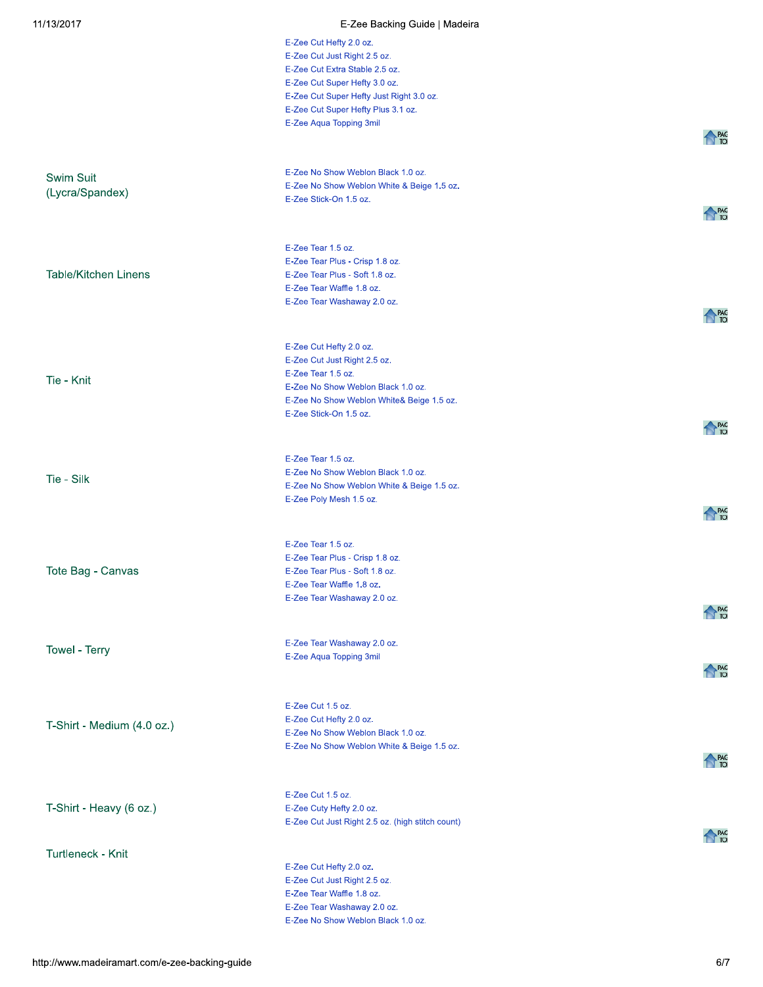| 11/13/2017                  | E-Zee Backing Guide   Madeira                                                   |                   |
|-----------------------------|---------------------------------------------------------------------------------|-------------------|
|                             | E-Zee Cut Hefty 2.0 oz.                                                         |                   |
|                             | E-Zee Cut Just Right 2.5 oz.                                                    |                   |
|                             | E-Zee Cut Extra Stable 2.5 oz.                                                  |                   |
|                             | E-Zee Cut Super Hefty 3.0 oz.<br>E-Zee Cut Super Hefty Just Right 3.0 oz.       |                   |
|                             | E-Zee Cut Super Hefty Plus 3.1 oz.                                              |                   |
|                             | E-Zee Aqua Topping 3mil                                                         |                   |
|                             |                                                                                 | <b>A</b> PAG      |
|                             |                                                                                 |                   |
| Swim Suit                   | E-Zee No Show Weblon Black 1.0 oz.                                              |                   |
| (Lycra/Spandex)             | E-Zee No Show Weblon White & Beige 1.5 oz.                                      |                   |
|                             | E-Zee Stick-On 1.5 oz.                                                          |                   |
|                             |                                                                                 | <b>A</b> PAG      |
|                             |                                                                                 |                   |
|                             | E-Zee Tear 1.5 oz.                                                              |                   |
|                             | E-Zee Tear Plus - Crisp 1.8 oz.                                                 |                   |
| <b>Table/Kitchen Linens</b> | E-Zee Tear Plus - Soft 1.8 oz.<br>E-Zee Tear Waffle 1.8 oz.                     |                   |
|                             | E-Zee Tear Washaway 2.0 oz.                                                     |                   |
|                             |                                                                                 | <b>A</b> PAG      |
|                             |                                                                                 |                   |
|                             | E-Zee Cut Hefty 2.0 oz.                                                         |                   |
|                             | E-Zee Cut Just Right 2.5 oz.                                                    |                   |
| Tie - Knit                  | E-Zee Tear 1.5 oz.                                                              |                   |
|                             | E-Zee No Show Weblon Black 1.0 oz.<br>E-Zee No Show Weblon White& Beige 1.5 oz. |                   |
|                             | E-Zee Stick-On 1.5 oz.                                                          |                   |
|                             |                                                                                 | <b>PAG</b><br>TOI |
|                             |                                                                                 |                   |
|                             | E-Zee Tear 1.5 oz.                                                              |                   |
| Tie - Silk                  | E-Zee No Show Weblon Black 1.0 oz.                                              |                   |
|                             | E-Zee No Show Weblon White & Beige 1.5 oz.<br>E-Zee Poly Mesh 1.5 oz.           |                   |
|                             |                                                                                 | <b>A</b> PAG      |
|                             |                                                                                 |                   |
|                             | E-Zee Tear 1.5 oz.                                                              |                   |
|                             | E-Zee Tear Plus - Crisp 1.8 oz.                                                 |                   |
| Tote Bag - Canvas           | E-Zee Tear Plus - Soft 1.8 oz.                                                  |                   |
|                             | E-Zee Tear Waffle 1.8 oz.                                                       |                   |
|                             | E-Zee Tear Washaway 2.0 oz.                                                     | <b>A</b> PAG      |
|                             |                                                                                 |                   |
|                             | E-Zee Tear Washaway 2.0 oz.                                                     |                   |
| Towel - Terry               | E-Zee Aqua Topping 3mil                                                         |                   |
|                             |                                                                                 | <b>A</b> PAG      |
|                             |                                                                                 |                   |
|                             | E-Zee Cut 1.5 oz.                                                               |                   |
| T-Shirt - Medium (4.0 oz.)  | E-Zee Cut Hefty 2.0 oz.                                                         |                   |
|                             | E-Zee No Show Weblon Black 1.0 oz.                                              |                   |
|                             | E-Zee No Show Weblon White & Beige 1.5 oz.                                      | <b>A</b> PAG      |
|                             |                                                                                 |                   |
|                             | E-Zee Cut 1.5 oz.                                                               |                   |
| T-Shirt - Heavy (6 oz.)     | E-Zee Cuty Hefty 2.0 oz.                                                        |                   |
|                             | E-Zee Cut Just Right 2.5 oz. (high stitch count)                                |                   |
|                             |                                                                                 | <b>A</b> PAG      |
| Turtleneck - Knit           |                                                                                 |                   |
|                             | E-Zee Cut Hefty 2.0 oz.                                                         |                   |
|                             | E-Zee Cut Just Right 2.5 oz.<br>E-Zee Tear Waffle 1.8 oz.                       |                   |
|                             | E-Zee Tear Washaway 2.0 oz.                                                     |                   |
|                             | E-Zee No Show Weblon Black 1.0 oz.                                              |                   |